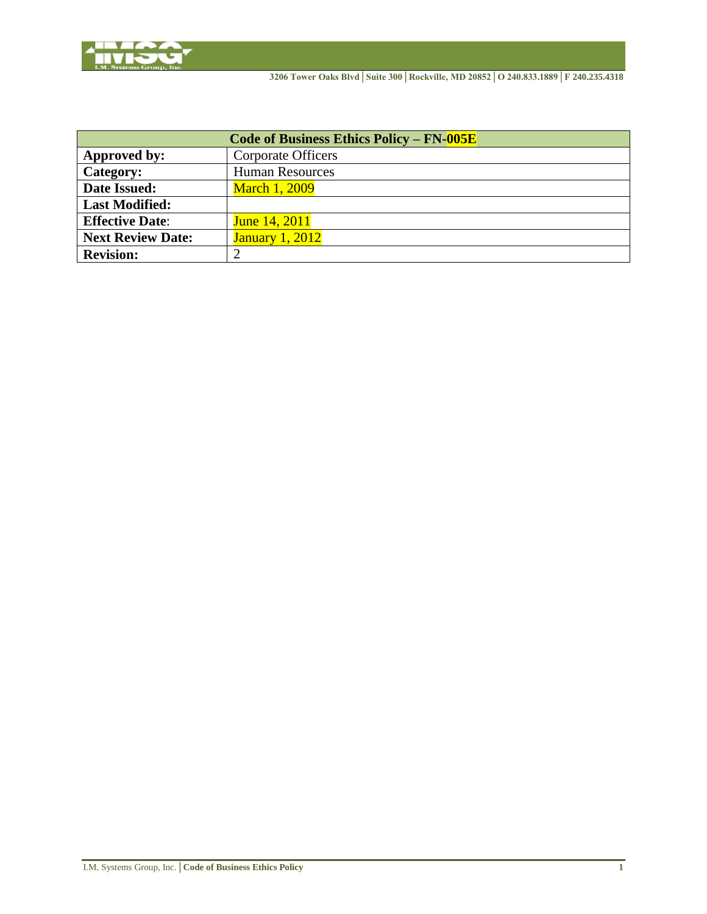

| Code of Business Ethics Policy – $FN-005E$ |                           |  |
|--------------------------------------------|---------------------------|--|
| Approved by:                               | <b>Corporate Officers</b> |  |
| Category:                                  | <b>Human Resources</b>    |  |
| <b>Date Issued:</b>                        | <b>March 1, 2009</b>      |  |
| <b>Last Modified:</b>                      |                           |  |
| <b>Effective Date:</b>                     | <b>June 14, 2011</b>      |  |
| <b>Next Review Date:</b>                   | <b>January 1, 2012</b>    |  |
| <b>Revision:</b>                           |                           |  |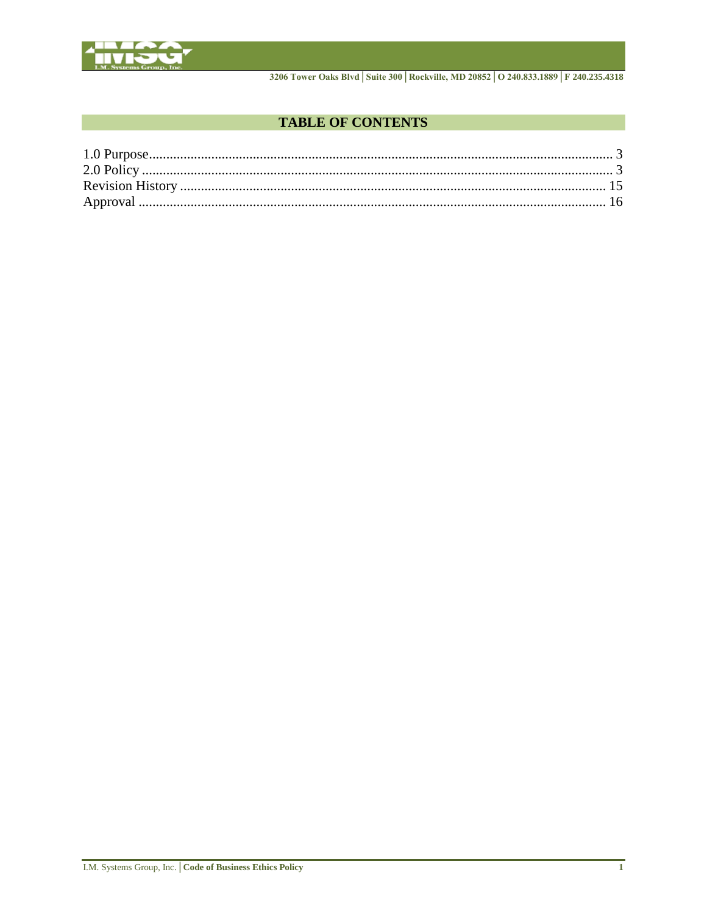

3206 Tower Oaks Blvd | Suite 300 | Rockville, MD 20852 | O 240.833.1889 | F 240.235.4318

# **TABLE OF CONTENTS**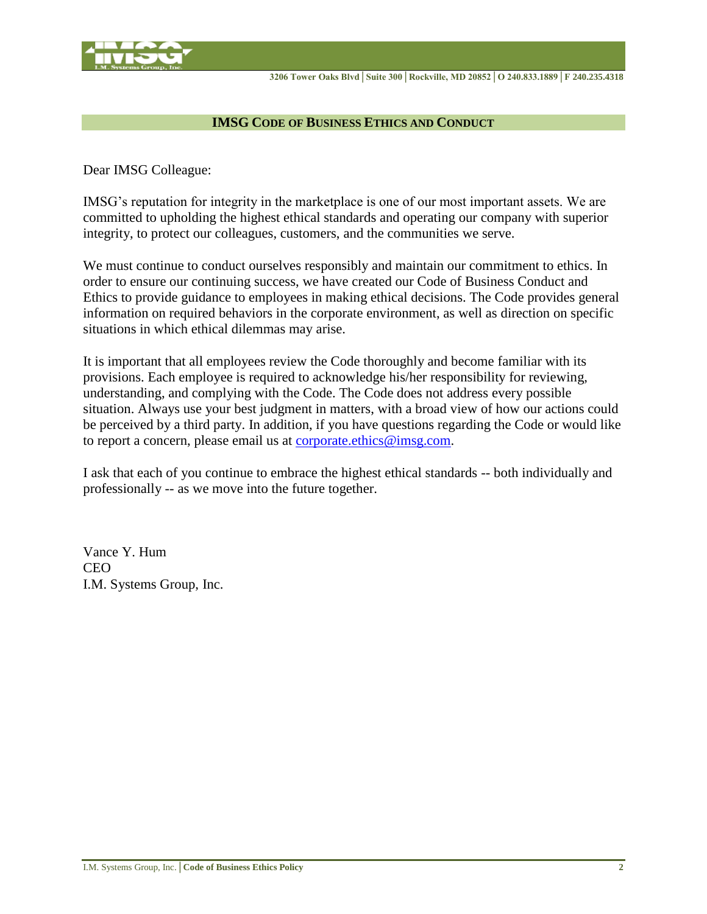

## **IMSG CODE OF BUSINESS ETHICS AND CONDUCT**

Dear IMSG Colleague:

IMSG's reputation for integrity in the marketplace is one of our most important assets. We are committed to upholding the highest ethical standards and operating our company with superior integrity, to protect our colleagues, customers, and the communities we serve.

We must continue to conduct ourselves responsibly and maintain our commitment to ethics. In order to ensure our continuing success, we have created our Code of Business Conduct and Ethics to provide guidance to employees in making ethical decisions. The Code provides general information on required behaviors in the corporate environment, as well as direction on specific situations in which ethical dilemmas may arise.

It is important that all employees review the Code thoroughly and become familiar with its provisions. Each employee is required to acknowledge his/her responsibility for reviewing, understanding, and complying with the Code. The Code does not address every possible situation. Always use your best judgment in matters, with a broad view of how our actions could be perceived by a third party. In addition, if you have questions regarding the Code or would like to report a concern, please email us at [corporate.ethics@imsg.com.](mailto:corporate.ethics@imsg.com)

I ask that each of you continue to embrace the highest ethical standards -- both individually and professionally -- as we move into the future together.

Vance Y. Hum CEO I.M. Systems Group, Inc.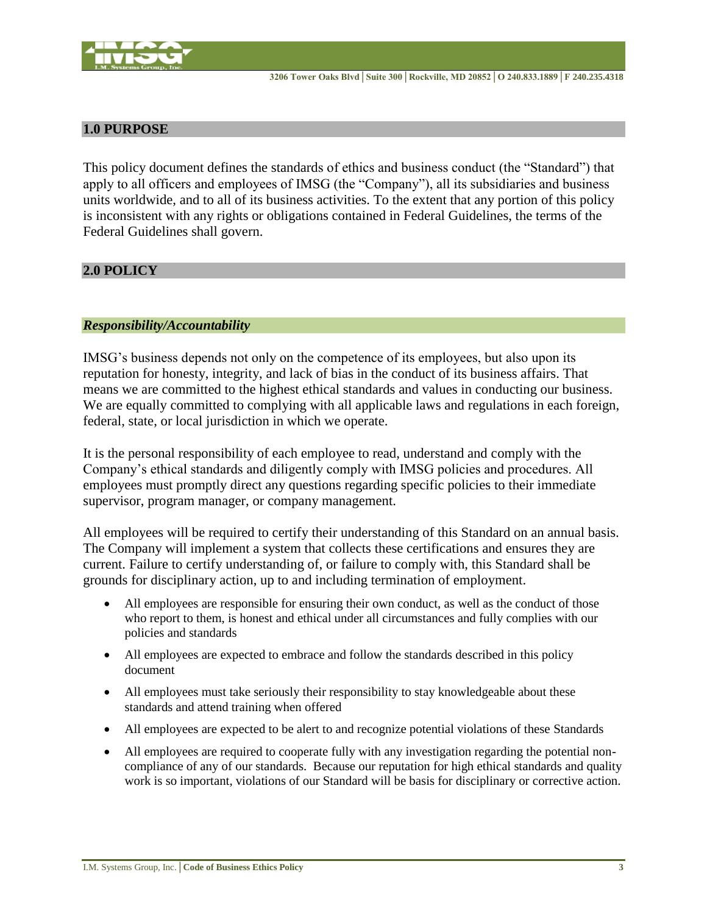

# <span id="page-3-0"></span>**1.0 PURPOSE**

This policy document defines the standards of ethics and business conduct (the "Standard") that apply to all officers and employees of IMSG (the "Company"), all its subsidiaries and business units worldwide, and to all of its business activities. To the extent that any portion of this policy is inconsistent with any rights or obligations contained in Federal Guidelines, the terms of the Federal Guidelines shall govern.

# <span id="page-3-1"></span>**2.0 POLICY**

## *Responsibility/Accountability*

IMSG's business depends not only on the competence of its employees, but also upon its reputation for honesty, integrity, and lack of bias in the conduct of its business affairs. That means we are committed to the highest ethical standards and values in conducting our business. We are equally committed to complying with all applicable laws and regulations in each foreign, federal, state, or local jurisdiction in which we operate.

It is the personal responsibility of each employee to read, understand and comply with the Company's ethical standards and diligently comply with IMSG policies and procedures. All employees must promptly direct any questions regarding specific policies to their immediate supervisor, program manager, or company management.

All employees will be required to certify their understanding of this Standard on an annual basis. The Company will implement a system that collects these certifications and ensures they are current. Failure to certify understanding of, or failure to comply with, this Standard shall be grounds for disciplinary action, up to and including termination of employment.

- All employees are responsible for ensuring their own conduct, as well as the conduct of those who report to them, is honest and ethical under all circumstances and fully complies with our policies and standards
- All employees are expected to embrace and follow the standards described in this policy document
- All employees must take seriously their responsibility to stay knowledgeable about these standards and attend training when offered
- All employees are expected to be alert to and recognize potential violations of these Standards
- All employees are required to cooperate fully with any investigation regarding the potential noncompliance of any of our standards. Because our reputation for high ethical standards and quality work is so important, violations of our Standard will be basis for disciplinary or corrective action.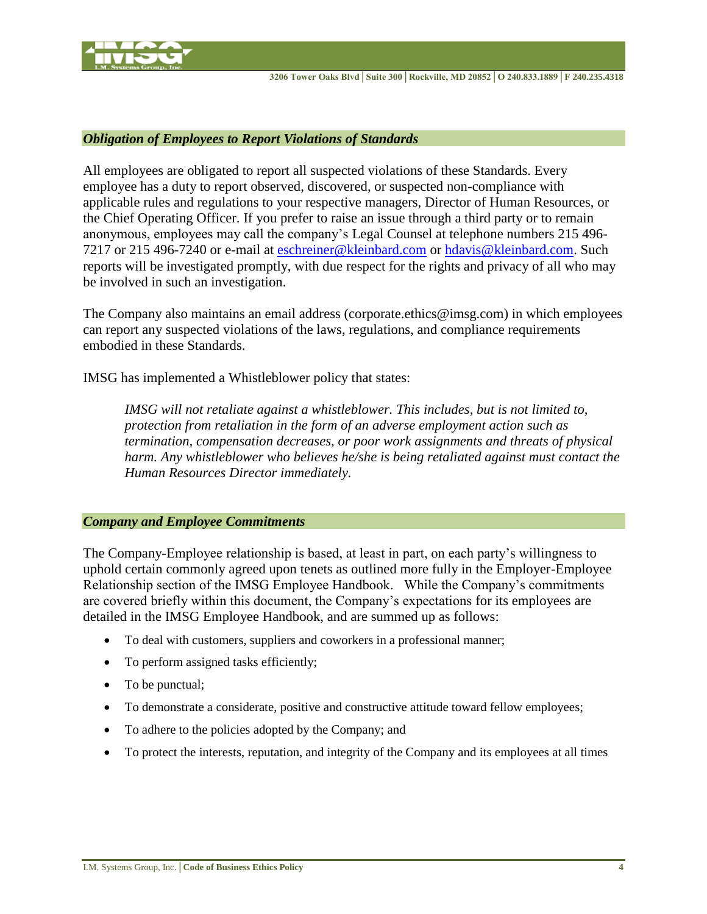

#### *Obligation of Employees to Report Violations of Standards*

All employees are obligated to report all suspected violations of these Standards. Every employee has a duty to report observed, discovered, or suspected non-compliance with applicable rules and regulations to your respective managers, Director of Human Resources, or the Chief Operating Officer. If you prefer to raise an issue through a third party or to remain anonymous, employees may call the company's Legal Counsel at telephone numbers 215 496- 7217 or 215 496-7240 or e-mail at [eschreiner@kleinbard.com](mailto:eschreiner@kleinbard.com) or [hdavis@kleinbard.com.](mailto:hdavis@kleinbard.com) Such reports will be investigated promptly, with due respect for the rights and privacy of all who may be involved in such an investigation.

The Company also maintains an email address (corporate.ethics@imsg.com) in which employees can report any suspected violations of the laws, regulations, and compliance requirements embodied in these Standards.

IMSG has implemented a Whistleblower policy that states:

*IMSG will not retaliate against a whistleblower. This includes, but is not limited to, protection from retaliation in the form of an adverse employment action such as termination, compensation decreases, or poor work assignments and threats of physical harm. Any whistleblower who believes he/she is being retaliated against must contact the Human Resources Director immediately.*

#### *Company and Employee Commitments*

The Company-Employee relationship is based, at least in part, on each party's willingness to uphold certain commonly agreed upon tenets as outlined more fully in the Employer-Employee Relationship section of the IMSG Employee Handbook. While the Company's commitments are covered briefly within this document, the Company's expectations for its employees are detailed in the IMSG Employee Handbook, and are summed up as follows:

- To deal with customers, suppliers and coworkers in a professional manner;
- To perform assigned tasks efficiently;
- To be punctual;
- To demonstrate a considerate, positive and constructive attitude toward fellow employees;
- To adhere to the policies adopted by the Company; and
- To protect the interests, reputation, and integrity of the Company and its employees at all times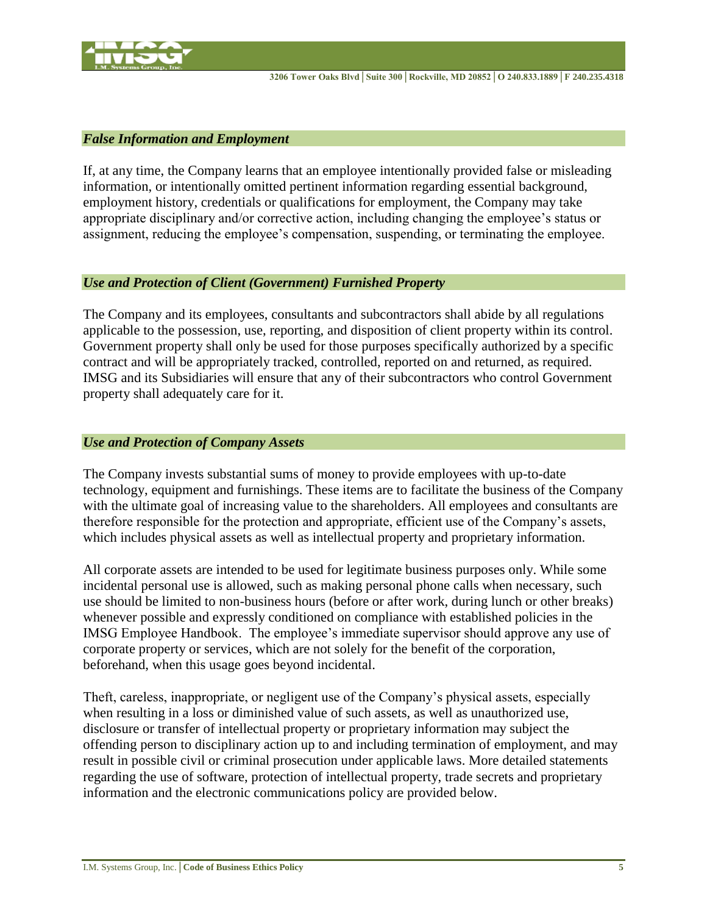

#### *False Information and Employment*

If, at any time, the Company learns that an employee intentionally provided false or misleading information, or intentionally omitted pertinent information regarding essential background, employment history, credentials or qualifications for employment, the Company may take appropriate disciplinary and/or corrective action, including changing the employee's status or assignment, reducing the employee's compensation, suspending, or terminating the employee.

## *Use and Protection of Client (Government) Furnished Property*

The Company and its employees, consultants and subcontractors shall abide by all regulations applicable to the possession, use, reporting, and disposition of client property within its control. Government property shall only be used for those purposes specifically authorized by a specific contract and will be appropriately tracked, controlled, reported on and returned, as required. IMSG and its Subsidiaries will ensure that any of their subcontractors who control Government property shall adequately care for it.

## *Use and Protection of Company Assets*

The Company invests substantial sums of money to provide employees with up-to-date technology, equipment and furnishings. These items are to facilitate the business of the Company with the ultimate goal of increasing value to the shareholders. All employees and consultants are therefore responsible for the protection and appropriate, efficient use of the Company's assets, which includes physical assets as well as intellectual property and proprietary information.

All corporate assets are intended to be used for legitimate business purposes only. While some incidental personal use is allowed, such as making personal phone calls when necessary, such use should be limited to non-business hours (before or after work, during lunch or other breaks) whenever possible and expressly conditioned on compliance with established policies in the IMSG Employee Handbook. The employee's immediate supervisor should approve any use of corporate property or services, which are not solely for the benefit of the corporation, beforehand, when this usage goes beyond incidental.

Theft, careless, inappropriate, or negligent use of the Company's physical assets, especially when resulting in a loss or diminished value of such assets, as well as unauthorized use, disclosure or transfer of intellectual property or proprietary information may subject the offending person to disciplinary action up to and including termination of employment, and may result in possible civil or criminal prosecution under applicable laws. More detailed statements regarding the use of software, protection of intellectual property, trade secrets and proprietary information and the electronic communications policy are provided below.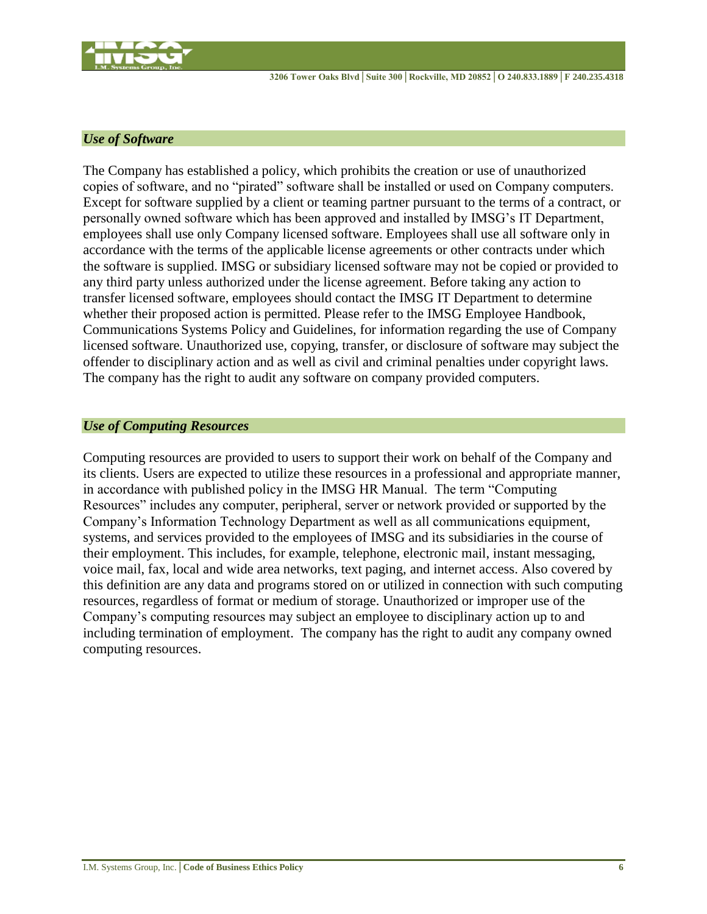

## *Use of Software*

The Company has established a policy, which prohibits the creation or use of unauthorized copies of software, and no "pirated" software shall be installed or used on Company computers. Except for software supplied by a client or teaming partner pursuant to the terms of a contract, or personally owned software which has been approved and installed by IMSG's IT Department, employees shall use only Company licensed software. Employees shall use all software only in accordance with the terms of the applicable license agreements or other contracts under which the software is supplied. IMSG or subsidiary licensed software may not be copied or provided to any third party unless authorized under the license agreement. Before taking any action to transfer licensed software, employees should contact the IMSG IT Department to determine whether their proposed action is permitted. Please refer to the IMSG Employee Handbook, Communications Systems Policy and Guidelines, for information regarding the use of Company licensed software. Unauthorized use, copying, transfer, or disclosure of software may subject the offender to disciplinary action and as well as civil and criminal penalties under copyright laws. The company has the right to audit any software on company provided computers.

## *Use of Computing Resources*

Computing resources are provided to users to support their work on behalf of the Company and its clients. Users are expected to utilize these resources in a professional and appropriate manner, in accordance with published policy in the IMSG HR Manual. The term "Computing Resources" includes any computer, peripheral, server or network provided or supported by the Company's Information Technology Department as well as all communications equipment, systems, and services provided to the employees of IMSG and its subsidiaries in the course of their employment. This includes, for example, telephone, electronic mail, instant messaging, voice mail, fax, local and wide area networks, text paging, and internet access. Also covered by this definition are any data and programs stored on or utilized in connection with such computing resources, regardless of format or medium of storage. Unauthorized or improper use of the Company's computing resources may subject an employee to disciplinary action up to and including termination of employment. The company has the right to audit any company owned computing resources.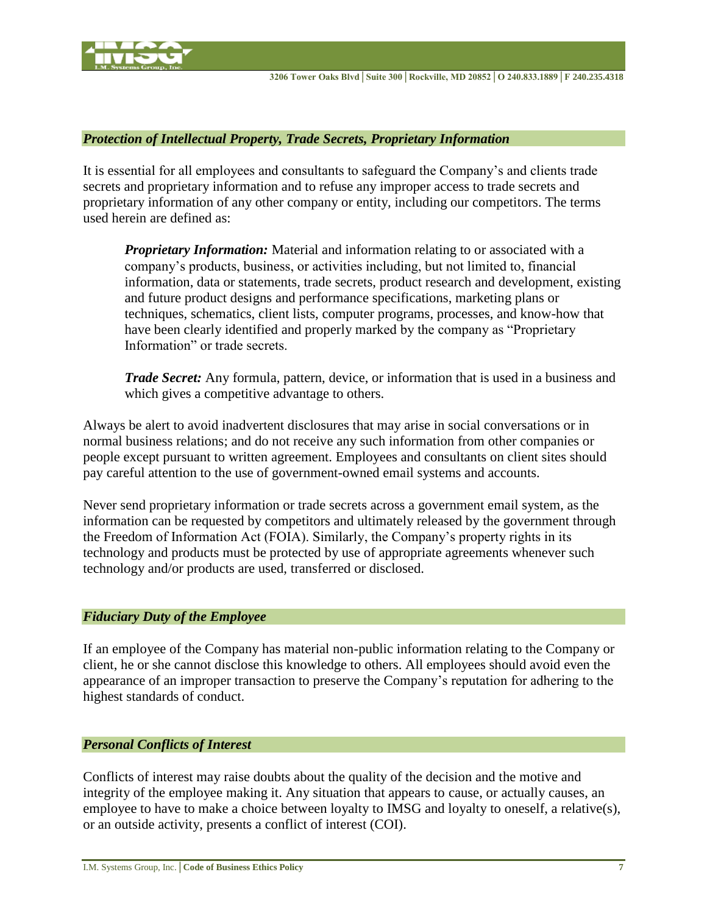

#### *Protection of Intellectual Property, Trade Secrets, Proprietary Information*

It is essential for all employees and consultants to safeguard the Company's and clients trade secrets and proprietary information and to refuse any improper access to trade secrets and proprietary information of any other company or entity, including our competitors. The terms used herein are defined as:

*Proprietary Information:* Material and information relating to or associated with a company's products, business, or activities including, but not limited to, financial information, data or statements, trade secrets, product research and development, existing and future product designs and performance specifications, marketing plans or techniques, schematics, client lists, computer programs, processes, and know-how that have been clearly identified and properly marked by the company as "Proprietary Information" or trade secrets.

*Trade Secret:* Any formula, pattern, device, or information that is used in a business and which gives a competitive advantage to others.

Always be alert to avoid inadvertent disclosures that may arise in social conversations or in normal business relations; and do not receive any such information from other companies or people except pursuant to written agreement. Employees and consultants on client sites should pay careful attention to the use of government-owned email systems and accounts.

Never send proprietary information or trade secrets across a government email system, as the information can be requested by competitors and ultimately released by the government through the Freedom of Information Act (FOIA). Similarly, the Company's property rights in its technology and products must be protected by use of appropriate agreements whenever such technology and/or products are used, transferred or disclosed.

#### *Fiduciary Duty of the Employee*

If an employee of the Company has material non-public information relating to the Company or client, he or she cannot disclose this knowledge to others. All employees should avoid even the appearance of an improper transaction to preserve the Company's reputation for adhering to the highest standards of conduct.

#### *Personal Conflicts of Interest*

Conflicts of interest may raise doubts about the quality of the decision and the motive and integrity of the employee making it. Any situation that appears to cause, or actually causes, an employee to have to make a choice between loyalty to IMSG and loyalty to oneself, a relative(s), or an outside activity, presents a conflict of interest (COI).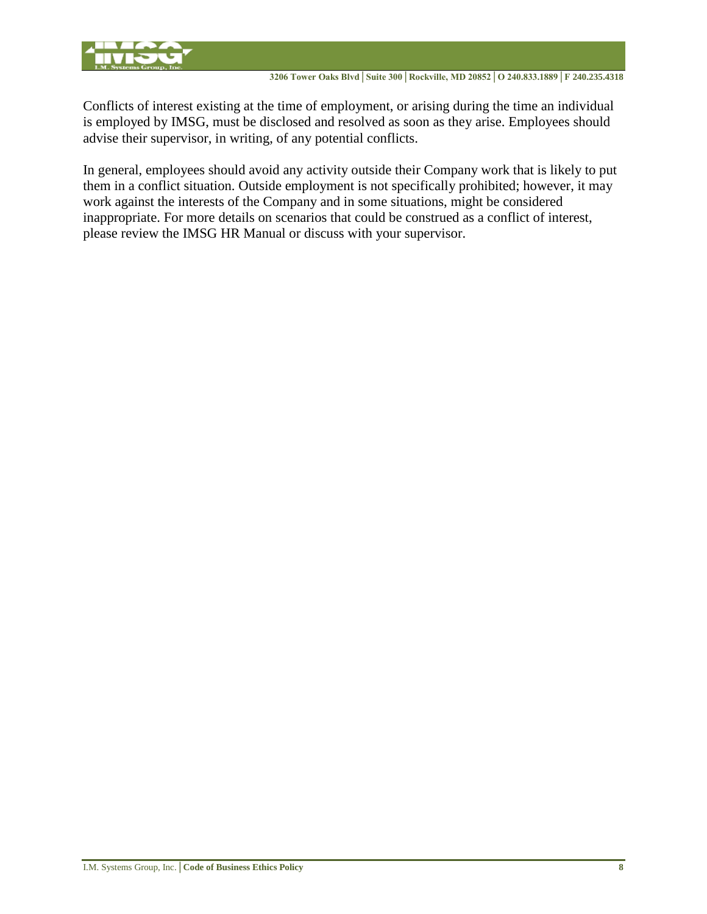

Conflicts of interest existing at the time of employment, or arising during the time an individual is employed by IMSG, must be disclosed and resolved as soon as they arise. Employees should advise their supervisor, in writing, of any potential conflicts.

In general, employees should avoid any activity outside their Company work that is likely to put them in a conflict situation. Outside employment is not specifically prohibited; however, it may work against the interests of the Company and in some situations, might be considered inappropriate. For more details on scenarios that could be construed as a conflict of interest, please review the IMSG HR Manual or discuss with your supervisor.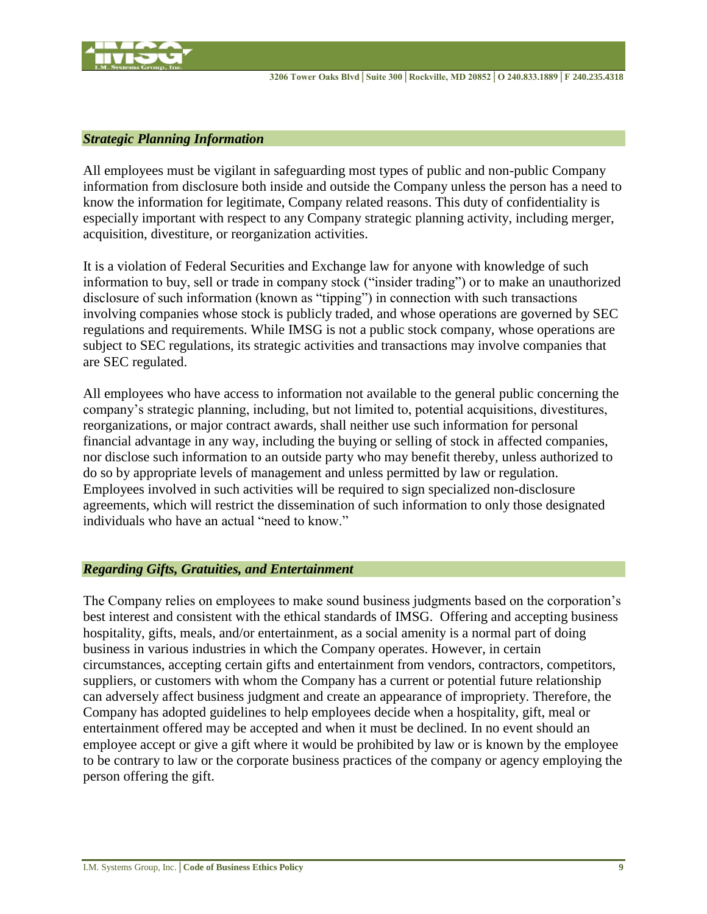

#### *Strategic Planning Information*

All employees must be vigilant in safeguarding most types of public and non-public Company information from disclosure both inside and outside the Company unless the person has a need to know the information for legitimate, Company related reasons. This duty of confidentiality is especially important with respect to any Company strategic planning activity, including merger, acquisition, divestiture, or reorganization activities.

It is a violation of Federal Securities and Exchange law for anyone with knowledge of such information to buy, sell or trade in company stock ("insider trading") or to make an unauthorized disclosure of such information (known as "tipping") in connection with such transactions involving companies whose stock is publicly traded, and whose operations are governed by SEC regulations and requirements. While IMSG is not a public stock company, whose operations are subject to SEC regulations, its strategic activities and transactions may involve companies that are SEC regulated.

All employees who have access to information not available to the general public concerning the company's strategic planning, including, but not limited to, potential acquisitions, divestitures, reorganizations, or major contract awards, shall neither use such information for personal financial advantage in any way, including the buying or selling of stock in affected companies, nor disclose such information to an outside party who may benefit thereby, unless authorized to do so by appropriate levels of management and unless permitted by law or regulation. Employees involved in such activities will be required to sign specialized non-disclosure agreements, which will restrict the dissemination of such information to only those designated individuals who have an actual "need to know."

#### *Regarding Gifts, Gratuities, and Entertainment*

The Company relies on employees to make sound business judgments based on the corporation's best interest and consistent with the ethical standards of IMSG. Offering and accepting business hospitality, gifts, meals, and/or entertainment, as a social amenity is a normal part of doing business in various industries in which the Company operates. However, in certain circumstances, accepting certain gifts and entertainment from vendors, contractors, competitors, suppliers, or customers with whom the Company has a current or potential future relationship can adversely affect business judgment and create an appearance of impropriety. Therefore, the Company has adopted guidelines to help employees decide when a hospitality, gift, meal or entertainment offered may be accepted and when it must be declined. In no event should an employee accept or give a gift where it would be prohibited by law or is known by the employee to be contrary to law or the corporate business practices of the company or agency employing the person offering the gift.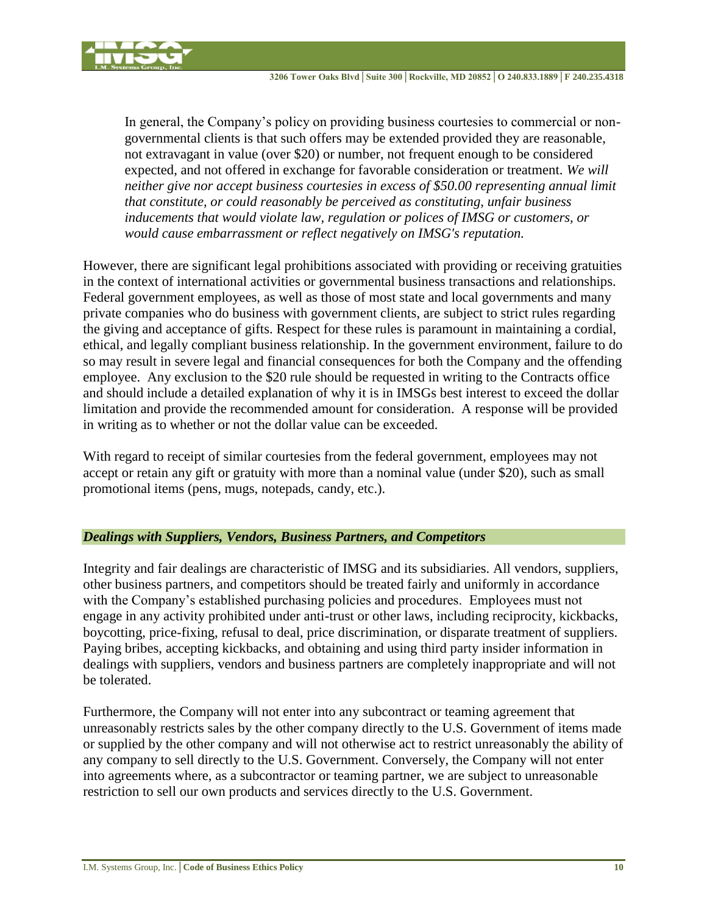

In general, the Company's policy on providing business courtesies to commercial or nongovernmental clients is that such offers may be extended provided they are reasonable, not extravagant in value (over \$20) or number, not frequent enough to be considered expected, and not offered in exchange for favorable consideration or treatment. *We will neither give nor accept business courtesies in excess of \$50.00 representing annual limit that constitute, or could reasonably be perceived as constituting, unfair business inducements that would violate law, regulation or polices of IMSG or customers, or would cause embarrassment or reflect negatively on IMSG's reputation.*

However, there are significant legal prohibitions associated with providing or receiving gratuities in the context of international activities or governmental business transactions and relationships. Federal government employees, as well as those of most state and local governments and many private companies who do business with government clients, are subject to strict rules regarding the giving and acceptance of gifts. Respect for these rules is paramount in maintaining a cordial, ethical, and legally compliant business relationship. In the government environment, failure to do so may result in severe legal and financial consequences for both the Company and the offending employee. Any exclusion to the \$20 rule should be requested in writing to the Contracts office and should include a detailed explanation of why it is in IMSGs best interest to exceed the dollar limitation and provide the recommended amount for consideration. A response will be provided in writing as to whether or not the dollar value can be exceeded.

With regard to receipt of similar courtesies from the federal government, employees may not accept or retain any gift or gratuity with more than a nominal value (under \$20), such as small promotional items (pens, mugs, notepads, candy, etc.).

# *Dealings with Suppliers, Vendors, Business Partners, and Competitors*

Integrity and fair dealings are characteristic of IMSG and its subsidiaries. All vendors, suppliers, other business partners, and competitors should be treated fairly and uniformly in accordance with the Company's established purchasing policies and procedures. Employees must not engage in any activity prohibited under anti-trust or other laws, including reciprocity, kickbacks, boycotting, price-fixing, refusal to deal, price discrimination, or disparate treatment of suppliers. Paying bribes, accepting kickbacks, and obtaining and using third party insider information in dealings with suppliers, vendors and business partners are completely inappropriate and will not be tolerated.

Furthermore, the Company will not enter into any subcontract or teaming agreement that unreasonably restricts sales by the other company directly to the U.S. Government of items made or supplied by the other company and will not otherwise act to restrict unreasonably the ability of any company to sell directly to the U.S. Government. Conversely, the Company will not enter into agreements where, as a subcontractor or teaming partner, we are subject to unreasonable restriction to sell our own products and services directly to the U.S. Government.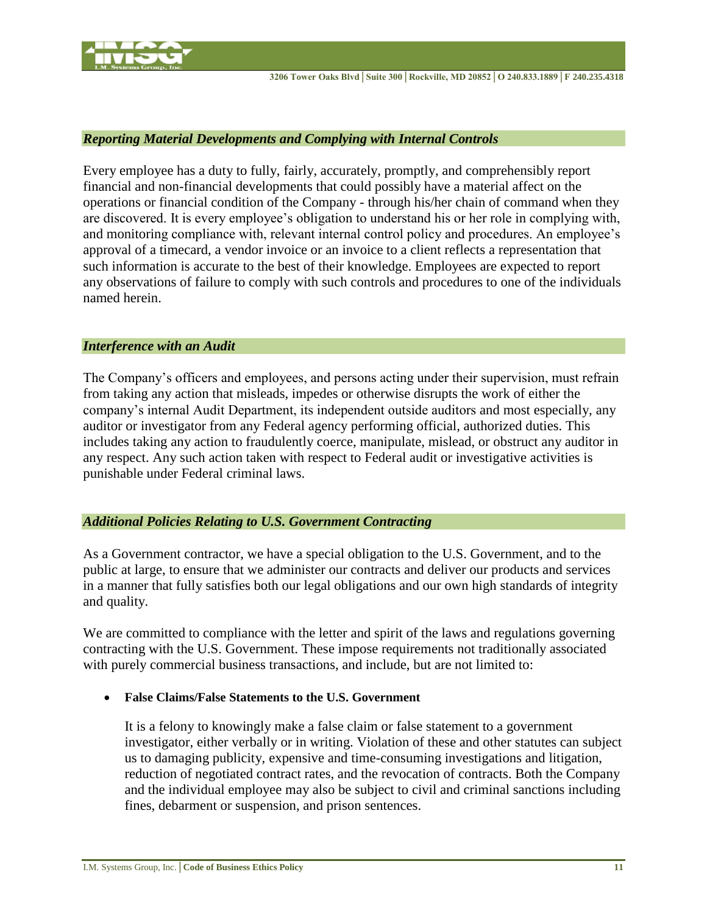

#### *Reporting Material Developments and Complying with Internal Controls*

Every employee has a duty to fully, fairly, accurately, promptly, and comprehensibly report financial and non-financial developments that could possibly have a material affect on the operations or financial condition of the Company - through his/her chain of command when they are discovered. It is every employee's obligation to understand his or her role in complying with, and monitoring compliance with, relevant internal control policy and procedures. An employee's approval of a timecard, a vendor invoice or an invoice to a client reflects a representation that such information is accurate to the best of their knowledge. Employees are expected to report any observations of failure to comply with such controls and procedures to one of the individuals named herein.

#### *Interference with an Audit*

The Company's officers and employees, and persons acting under their supervision, must refrain from taking any action that misleads, impedes or otherwise disrupts the work of either the company's internal Audit Department, its independent outside auditors and most especially, any auditor or investigator from any Federal agency performing official, authorized duties. This includes taking any action to fraudulently coerce, manipulate, mislead, or obstruct any auditor in any respect. Any such action taken with respect to Federal audit or investigative activities is punishable under Federal criminal laws.

## *Additional Policies Relating to U.S. Government Contracting*

As a Government contractor, we have a special obligation to the U.S. Government, and to the public at large, to ensure that we administer our contracts and deliver our products and services in a manner that fully satisfies both our legal obligations and our own high standards of integrity and quality.

We are committed to compliance with the letter and spirit of the laws and regulations governing contracting with the U.S. Government. These impose requirements not traditionally associated with purely commercial business transactions, and include, but are not limited to:

**False Claims/False Statements to the U.S. Government** 

It is a felony to knowingly make a false claim or false statement to a government investigator, either verbally or in writing. Violation of these and other statutes can subject us to damaging publicity, expensive and time-consuming investigations and litigation, reduction of negotiated contract rates, and the revocation of contracts. Both the Company and the individual employee may also be subject to civil and criminal sanctions including fines, debarment or suspension, and prison sentences.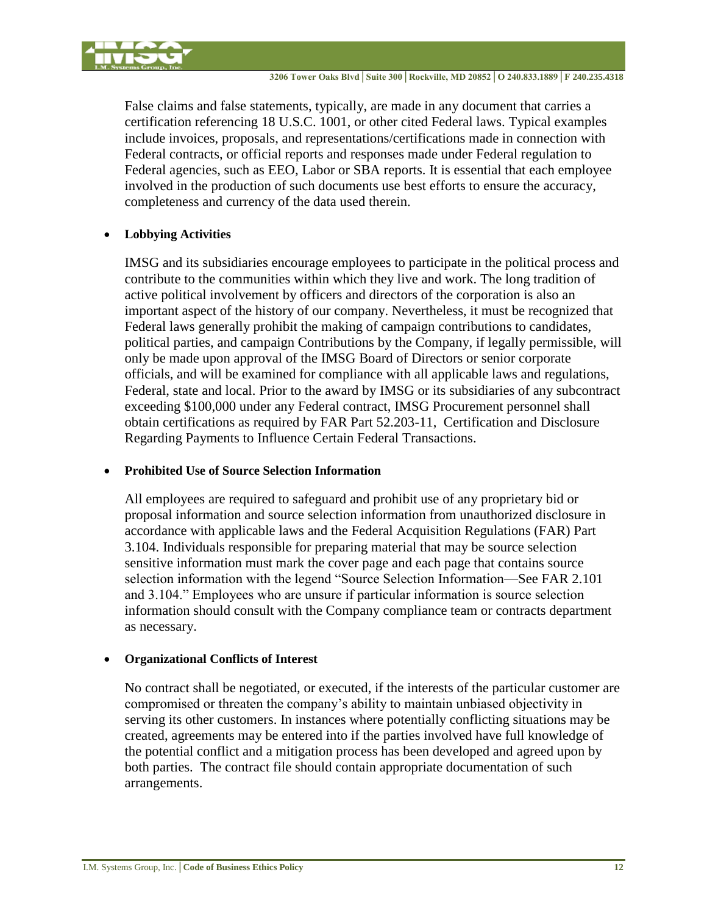

False claims and false statements, typically, are made in any document that carries a certification referencing 18 U.S.C. 1001, or other cited Federal laws. Typical examples include invoices, proposals, and representations/certifications made in connection with Federal contracts, or official reports and responses made under Federal regulation to Federal agencies, such as EEO, Labor or SBA reports. It is essential that each employee involved in the production of such documents use best efforts to ensure the accuracy, completeness and currency of the data used therein.

# **Lobbying Activities**

IMSG and its subsidiaries encourage employees to participate in the political process and contribute to the communities within which they live and work. The long tradition of active political involvement by officers and directors of the corporation is also an important aspect of the history of our company. Nevertheless, it must be recognized that Federal laws generally prohibit the making of campaign contributions to candidates, political parties, and campaign Contributions by the Company, if legally permissible, will only be made upon approval of the IMSG Board of Directors or senior corporate officials, and will be examined for compliance with all applicable laws and regulations, Federal, state and local. Prior to the award by IMSG or its subsidiaries of any subcontract exceeding \$100,000 under any Federal contract, IMSG Procurement personnel shall obtain certifications as required by FAR Part 52.203-11, Certification and Disclosure Regarding Payments to Influence Certain Federal Transactions.

# **Prohibited Use of Source Selection Information**

All employees are required to safeguard and prohibit use of any proprietary bid or proposal information and source selection information from unauthorized disclosure in accordance with applicable laws and the Federal Acquisition Regulations (FAR) Part 3.104. Individuals responsible for preparing material that may be source selection sensitive information must mark the cover page and each page that contains source selection information with the legend "Source Selection Information—See FAR 2.101 and 3.104." Employees who are unsure if particular information is source selection information should consult with the Company compliance team or contracts department as necessary.

# **Organizational Conflicts of Interest**

No contract shall be negotiated, or executed, if the interests of the particular customer are compromised or threaten the company's ability to maintain unbiased objectivity in serving its other customers. In instances where potentially conflicting situations may be created, agreements may be entered into if the parties involved have full knowledge of the potential conflict and a mitigation process has been developed and agreed upon by both parties. The contract file should contain appropriate documentation of such arrangements.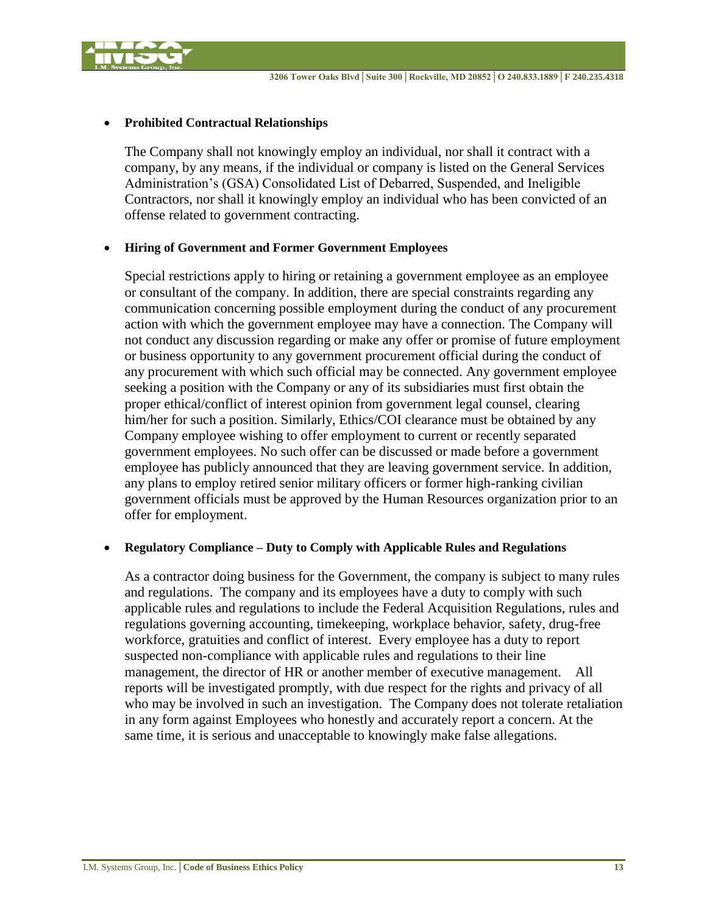

### **Prohibited Contractual Relationships**

The Company shall not knowingly employ an individual, nor shall it contract with a company, by any means, if the individual or company is listed on the General Services Administration's (GSA) Consolidated List of Debarred, Suspended, and Ineligible Contractors, nor shall it knowingly employ an individual who has been convicted of an offense related to government contracting.

## **Hiring of Government and Former Government Employees**

Special restrictions apply to hiring or retaining a government employee as an employee or consultant of the company. In addition, there are special constraints regarding any communication concerning possible employment during the conduct of any procurement action with which the government employee may have a connection. The Company will not conduct any discussion regarding or make any offer or promise of future employment or business opportunity to any government procurement official during the conduct of any procurement with which such official may be connected. Any government employee seeking a position with the Company or any of its subsidiaries must first obtain the proper ethical/conflict of interest opinion from government legal counsel, clearing him/her for such a position. Similarly, Ethics/COI clearance must be obtained by any Company employee wishing to offer employment to current or recently separated government employees. No such offer can be discussed or made before a government employee has publicly announced that they are leaving government service. In addition, any plans to employ retired senior military officers or former high-ranking civilian government officials must be approved by the Human Resources organization prior to an offer for employment.

#### **Regulatory Compliance – Duty to Comply with Applicable Rules and Regulations**

As a contractor doing business for the Government, the company is subject to many rules and regulations. The company and its employees have a duty to comply with such applicable rules and regulations to include the Federal Acquisition Regulations, rules and regulations governing accounting, timekeeping, workplace behavior, safety, drug-free workforce, gratuities and conflict of interest. Every employee has a duty to report suspected non-compliance with applicable rules and regulations to their line management, the director of HR or another member of executive management. All reports will be investigated promptly, with due respect for the rights and privacy of all who may be involved in such an investigation. The Company does not tolerate retaliation in any form against Employees who honestly and accurately report a concern. At the same time, it is serious and unacceptable to knowingly make false allegations.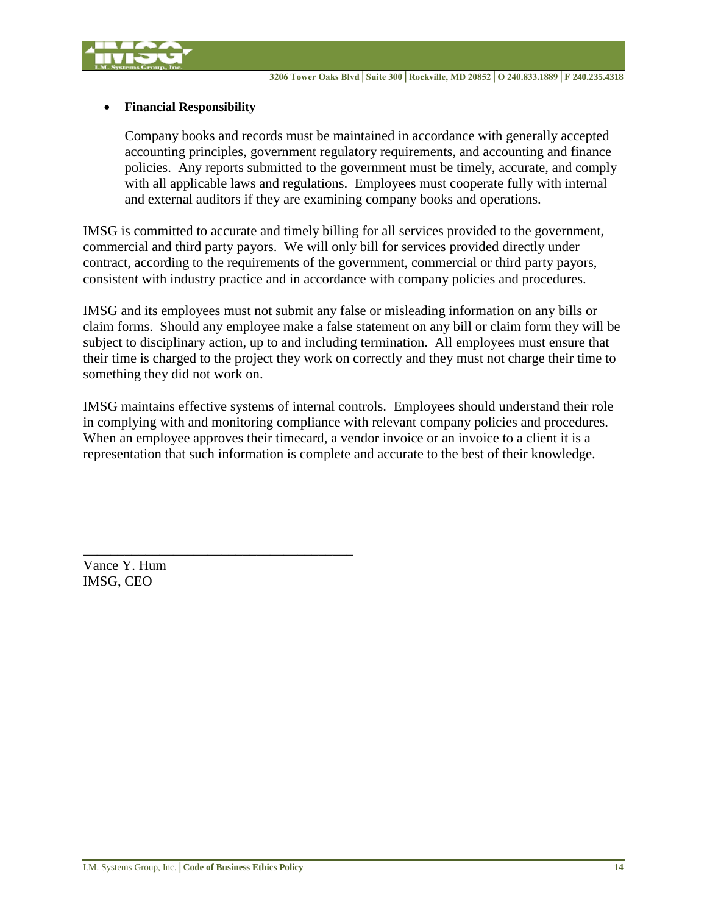



## **Financial Responsibility**

Company books and records must be maintained in accordance with generally accepted accounting principles, government regulatory requirements, and accounting and finance policies. Any reports submitted to the government must be timely, accurate, and comply with all applicable laws and regulations. Employees must cooperate fully with internal and external auditors if they are examining company books and operations.

IMSG is committed to accurate and timely billing for all services provided to the government, commercial and third party payors. We will only bill for services provided directly under contract, according to the requirements of the government, commercial or third party payors, consistent with industry practice and in accordance with company policies and procedures.

IMSG and its employees must not submit any false or misleading information on any bills or claim forms. Should any employee make a false statement on any bill or claim form they will be subject to disciplinary action, up to and including termination. All employees must ensure that their time is charged to the project they work on correctly and they must not charge their time to something they did not work on.

IMSG maintains effective systems of internal controls. Employees should understand their role in complying with and monitoring compliance with relevant company policies and procedures. When an employee approves their timecard, a vendor invoice or an invoice to a client it is a representation that such information is complete and accurate to the best of their knowledge.

Vance Y. Hum IMSG, CEO

\_\_\_\_\_\_\_\_\_\_\_\_\_\_\_\_\_\_\_\_\_\_\_\_\_\_\_\_\_\_\_\_\_\_\_\_\_\_\_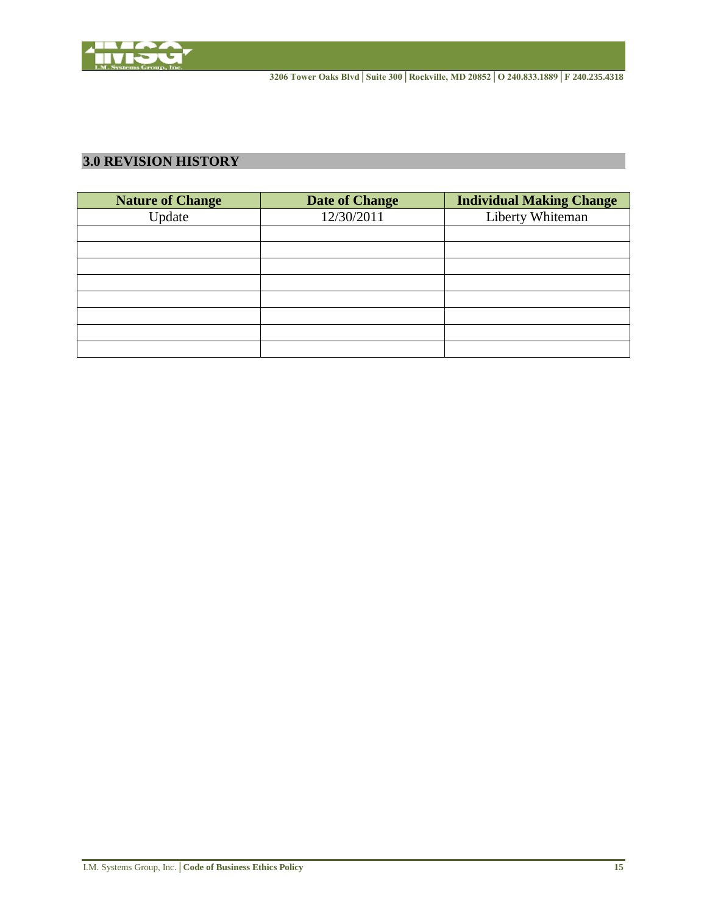

# <span id="page-15-0"></span>**3.0 REVISION HISTORY**

| <b>Nature of Change</b> | Date of Change | <b>Individual Making Change</b> |
|-------------------------|----------------|---------------------------------|
| Update                  | 12/30/2011     | Liberty Whiteman                |
|                         |                |                                 |
|                         |                |                                 |
|                         |                |                                 |
|                         |                |                                 |
|                         |                |                                 |
|                         |                |                                 |
|                         |                |                                 |
|                         |                |                                 |